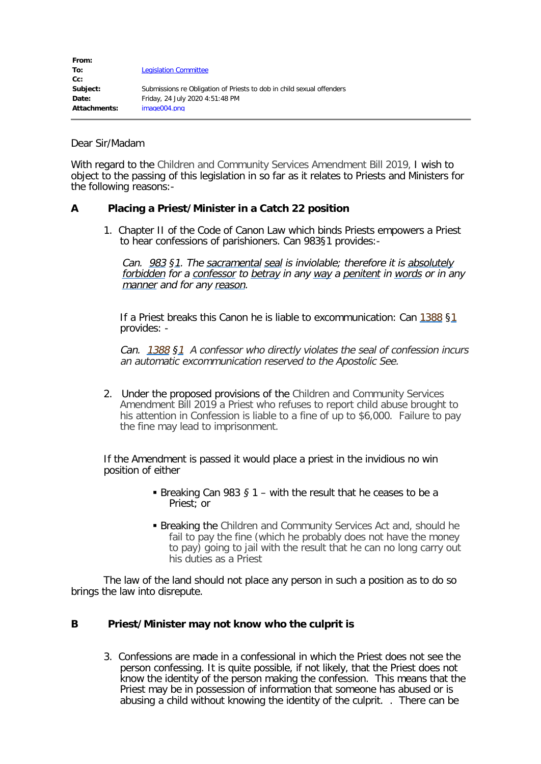| From:        |                                                                       |
|--------------|-----------------------------------------------------------------------|
| To:          | <b>Legislation Committee</b>                                          |
| $Cc$ :       |                                                                       |
| Subject:     | Submissions re Obligation of Priests to dob in child sexual offenders |
| Date:        | Friday, 24 July 2020 4:51:48 PM                                       |
| Attachments: | image004.png                                                          |

## Dear Sir/Madam

With regard to the Children and Community Services Amendment Bill 2019, I wish to object to the passing of this legislation in so far as it relates to Priests and Ministers for the following reasons:-

## **A Placing a Priest/Minister in a Catch 22 position**

1. Chapter II of the Code of Canon Law which binds Priests empowers a Priest to hear confessions of parishioners. Can 983§1 provides:-

Can. [983](https://www.vatican.va/archive/ENG1104/2/8X.HTM) §[1](https://www.vatican.va/archive/ENG1104/E.HTM). The [sacramental](https://www.vatican.va/archive/ENG1104/KN.HTM) [seal](https://www.vatican.va/archive/ENG1104/1/OK.HTM) is inviolable; therefore it is [absolutely](https://www.vatican.va/archive/ENG1104/1/39.HTM) [forbidden](https://www.vatican.va/archive/ENG1104/IV.HTM) for a [confessor](https://www.vatican.va/archive/ENG1104/NN.HTM) to [betray](https://www.vatican.va/archive/ENG1104/2/V1.HTM) in any [way](https://www.vatican.va/archive/ENG1104/3E.HTM) a [penitent](https://www.vatican.va/archive/ENG1104/SQ.HTM) in [words](https://www.vatican.va/archive/ENG1104/MM.HTM) or in any [manner](https://www.vatican.va/archive/ENG1104/4V.HTM) and for any [reason](https://www.vatican.va/archive/ENG1104/4T.HTM).

If a Priest breaks this Canon he is liable to excommunication: Can [1388](https://www.vatican.va/archive/ENG1104/2/8X.HTM) [§1](https://www.vatican.va/archive/ENG1104/E.HTM) provides: -

Can. [1388](https://www.vatican.va/archive/ENG1104/2/8X.HTM) §[1](https://www.vatican.va/archive/ENG1104/E.HTM) A confessor who directly violates the seal of confession incurs an automatic excommunication reserved to the Apostolic See.

2. Under the proposed provisions of the Children and Community Services Amendment Bill 2019 a Priest who refuses to report child abuse brought to his attention in Confession is liable to a fine of up to \$6,000. Failure to pay the fine may lead to imprisonment.

If the Amendment is passed it would place a priest in the invidious no win position of either

- Breaking Can 983 § 1 with the result that he ceases to be a Priest; or
- Breaking the Children and Community Services Act and, should he fail to pay the fine (which he probably does not have the money to pay) going to jail with the result that he can no long carry out his duties as a Priest

The law of the land should not place any person in such a position as to do so brings the law into disrepute.

## **B Priest/Minister may not know who the culprit is**

3. Confessions are made in a confessional in which the Priest does not see the person confessing. It is quite possible, if not likely, that the Priest does not know the identity of the person making the confession. This means that the Priest may be in possession of information that someone has abused or is abusing a child without knowing the identity of the culprit. . There can be